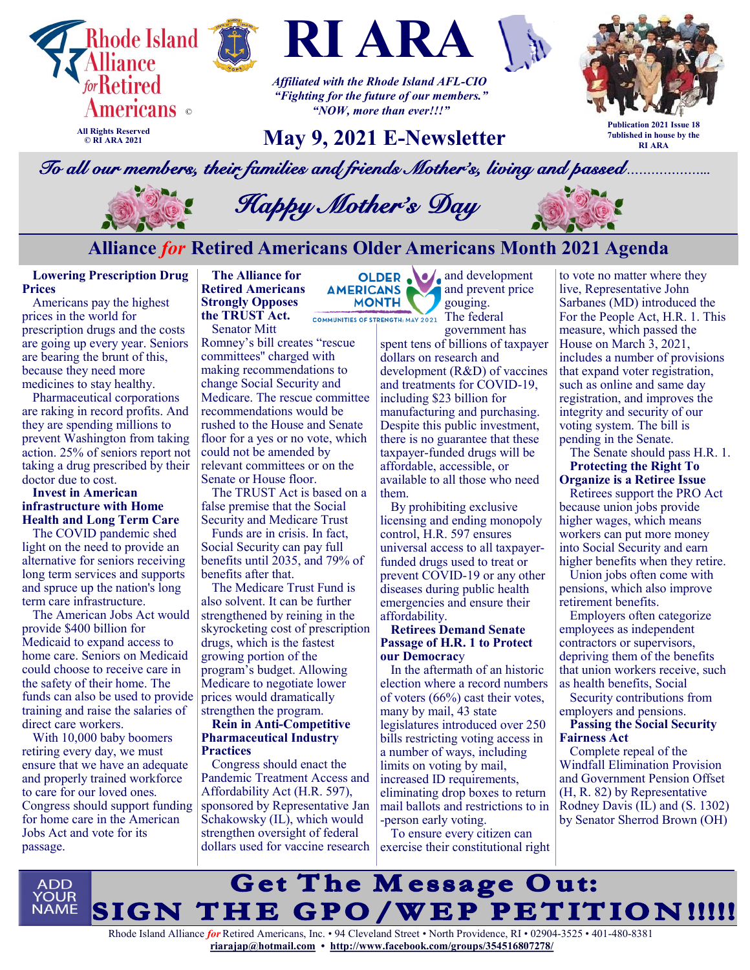







*Affiliated with the Rhode Island AFL-CIO "Fighting for the future of our members." "NOW, more than ever!!!"*

# **May 9, 2021 E-Newsletter**



**Publication 2021 Issue 18 7ublished in house by the RI ARA**

*To all our members, their families and friends Mother's, living and passed………………...* 



 *Happy Mother's Day*

## **Alliance** *for* **Retired Americans Older Americans Month 2021 Agenda**

**MONTH** 

**Lowering Prescription Drug Prices**

Americans pay the highest prices in the world for prescription drugs and the costs are going up every year. Seniors are bearing the brunt of this, because they need more medicines to stay healthy.

Pharmaceutical corporations are raking in record profits. And they are spending millions to prevent Washington from taking action. 25% of seniors report not taking a drug prescribed by their doctor due to cost.

#### **Invest in American infrastructure with Home Health and Long Term Care**

The COVID pandemic shed light on the need to provide an alternative for seniors receiving long term services and supports and spruce up the nation's long term care infrastructure.

The American Jobs Act would provide \$400 billion for Medicaid to expand access to home care. Seniors on Medicaid could choose to receive care in the safety of their home. The funds can also be used to provide training and raise the salaries of direct care workers.

With 10,000 baby boomers retiring every day, we must ensure that we have an adequate and properly trained workforce to care for our loved ones. Congress should support funding for home care in the American Jobs Act and vote for its passage.

**The Alliance for Retired Americans AMERICANS Strongly Opposes the TRUST Act.**

Senator Mitt

Romney's bill creates "rescue committees'' charged with making recommendations to change Social Security and Medicare. The rescue committee recommendations would be rushed to the House and Senate floor for a yes or no vote, which could not be amended by relevant committees or on the Senate or House floor.

The TRUST Act is based on a false premise that the Social Security and Medicare Trust

Funds are in crisis. In fact, Social Security can pay full benefits until 2035, and 79% of benefits after that.

The Medicare Trust Fund is also solvent. It can be further strengthened by reining in the skyrocketing cost of prescription drugs, which is the fastest growing portion of the program's budget. Allowing Medicare to negotiate lower prices would dramatically strengthen the program.

#### **Rein in Anti-Competitive Pharmaceutical Industry Practices**

Congress should enact the Pandemic Treatment Access and Affordability Act (H.R. 597), sponsored by Representative Jan Schakowsky (IL), which would strengthen oversight of federal dollars used for vaccine research

OLDER. **and development** and prevent price gouging. COMMUNITIES OF STRENGTH: MAY 2021 The federal

government has

spent tens of billions of taxpayer dollars on research and development (R&D) of vaccines and treatments for COVID-19, including \$23 billion for manufacturing and purchasing. Despite this public investment, there is no guarantee that these taxpayer-funded drugs will be affordable, accessible, or available to all those who need them.

By prohibiting exclusive licensing and ending monopoly control, H.R. 597 ensures universal access to all taxpayerfunded drugs used to treat or prevent COVID-19 or any other diseases during public health emergencies and ensure their affordability.

#### **Retirees Demand Senate Passage of H.R. 1 to Protect our Democrac**y

In the aftermath of an historic election where a record numbers of voters (66%) cast their votes, many by mail, 43 state legislatures introduced over 250 bills restricting voting access in a number of ways, including limits on voting by mail, increased ID requirements, eliminating drop boxes to return mail ballots and restrictions to in -person early voting.

To ensure every citizen can exercise their constitutional right to vote no matter where they live, Representative John Sarbanes (MD) introduced the For the People Act, H.R. 1. This measure, which passed the House on March 3, 2021, includes a number of provisions that expand voter registration, such as online and same day registration, and improves the integrity and security of our voting system. The bill is pending in the Senate.

The Senate should pass H.R. 1. **Protecting the Right To Organize is a Retiree Issue**

Retirees support the PRO Act because union jobs provide higher wages, which means workers can put more money into Social Security and earn higher benefits when they retire.

Union jobs often come with pensions, which also improve retirement benefits.

Employers often categorize employees as independent contractors or supervisors, depriving them of the benefits that union workers receive, such as health benefits, Social

Security contributions from employers and pensions.

#### **Passing the Social Security Fairness Act**

Complete repeal of the Windfall Elimination Provision and Government Pension Offset (H, R. 82) by Representative Rodney Davis (IL) and (S. 1302) by Senator Sherrod Brown (OH)

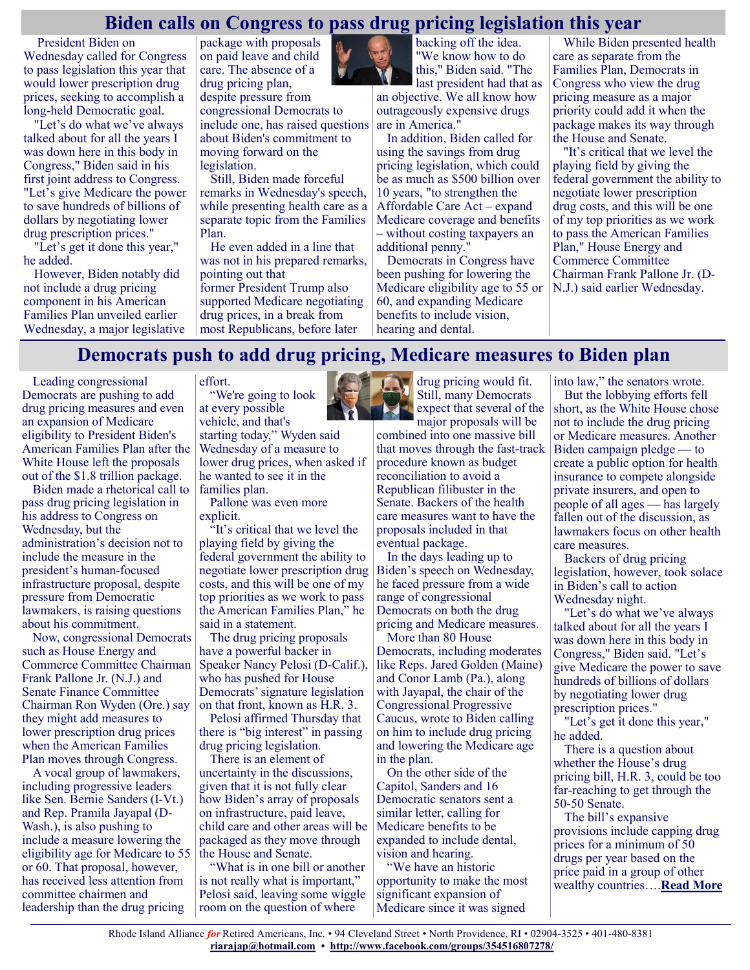#### **Biden calls on Congress to pass drug pricing legislation this year**

[President Biden](https://thehill.com/people/joe-biden) on Wednesday called for Congress to pass legislation this year that would lower prescription drug prices, seeking to accomplish a long-held Democratic goal.

"Let's do what we've always talked about for all the years I was down here in this body in Congress," Biden said in his first joint address to Congress. "Let's give Medicare the power to save hundreds of billions of dollars by negotiating lower drug prescription prices."

"Let's get it done this year," he added.

However, Biden notably did not include a drug pricing component in his American Families Plan unveiled earlier Wednesday, a major legislative package with proposals on paid leave and child care. The absence of a drug pricing plan, despite pressure from congressional Democrats to include one, has raised questions about Biden's commitment to moving forward on the legislation.

Still, Biden made forceful remarks in Wednesday's speech, while presenting health care as a separate topic from the Families Plan.

He even added in a line that was not in his prepared remarks, pointing out that former [President Trump](https://thehill.com/people/donald-trump) also supported Medicare negotiating drug prices, in a break from most Republicans, before later



backing off the idea. "We know how to do this," Biden said. "The last president had that as

an objective. We all know how outrageously expensive drugs are in America."

In addition, Biden called for using the savings from drug pricing legislation, which could be as much as \$500 billion over 10 years, "to strengthen the Affordable Care Act – expand Medicare coverage and benefits – without costing taxpayers an additional penny."

Democrats in Congress have been pushing for lowering the Medicare eligibility age to 55 or 60, and expanding Medicare benefits to include vision, hearing and dental.

While Biden presented health care as separate from the Families Plan, Democrats in Congress who view the drug pricing measure as a major priority could add it when the package makes its way through the House and Senate.

"It's critical that we level the playing field by giving the federal government the ability to negotiate lower prescription drug costs, and this will be one of my top priorities as we work to pass the American Families Plan," House Energy and Commerce Committee Chairman Frank Pallone Jr. (D-N.J.) said earlier Wednesday.

## **Democrats push to add drug pricing, Medicare measures to Biden plan**

Leading congressional Democrats are pushing to add drug pricing measures and even an expansion of Medicare eligibility to [President Biden's](https://thehill.com/people/joe-biden) American Families Plan after the White House left the proposals out of the \$1.8 trillion package.

Biden made a rhetorical call to pass drug pricing legislation in his address to Congress on Wednesday, but the administration's decision not to include the measure in the president's human-focused infrastructure proposal, despite pressure from Democratic lawmakers, is raising questions about his commitment.

Now, congressional Democrats such as House Energy and Commerce Committee Chairman Frank Pallone Jr. (N.J.) and Senate Finance Committee Chairman [Ron Wyden](https://thehill.com/people/ron-wyden) (Ore.) say they might add measures to lower prescription drug prices when the American Families Plan moves through Congress.

A vocal group of lawmakers, including progressive leaders like Sen. [Bernie Sanders](https://thehill.com/people/bernie-sanders) (I-Vt.) and Rep. [Pramila Jayapal](https://thehill.com/people/pramila-jayapal) (D-Wash.), is also pushing to include a measure lowering the eligibility age for Medicare to 55 or 60. That proposal, however, has received less attention from committee chairmen and leadership than the drug pricing

effort. "We're going to look

at every possible vehicle, and that's starting today," Wyden said Wednesday of a measure to lower drug prices, when asked if he wanted to see it in the families plan.

Pallone was even more explicit.

"It's critical that we level the playing field by giving the federal government the ability to negotiate lower prescription drug costs, and this will be one of my top priorities as we work to pass the American Families Plan," he said in a statement.

The drug pricing proposals have a powerful backer in Speaker [Nancy Pelosi](https://thehill.com/people/nancy-pelosi) (D-Calif.), who has pushed for House Democrats' signature legislation on that front, known as H.R. 3.

Pelosi affirmed Thursday that there is "big interest" in passing drug pricing legislation.

There is an element of uncertainty in the discussions, given that it is not fully clear how Biden's array of proposals on infrastructure, paid leave, child care and other areas will be packaged as they move through the House and Senate.

"What is in one bill or another is not really what is important," Pelosi said, leaving some wiggle room on the question of where



drug pricing would fit. Still, many Democrats expect that several of the major proposals will be

combined into one massive bill that moves through the fast-track procedure known as budget reconciliation to avoid a Republican filibuster in the Senate. Backers of the health care measures want to have the proposals included in that eventual package.

In the days leading up to Biden's speech on Wednesday, he faced pressure from a wide range of congressional Democrats on both the drug pricing and Medicare measures.

More than 80 House Democrats, including moderates like Reps. Jared Golden (Maine) and Conor Lamb (Pa.), along with Jayapal, the chair of the Congressional Progressive Caucus, wrote to Biden calling on him to include drug pricing and lowering the Medicare age in the plan.

On the other side of the Capitol, Sanders and 16 Democratic senators sent a similar letter, calling for Medicare benefits to be expanded to include dental, vision and hearing.

"We have an historic opportunity to make the most significant expansion of Medicare since it was signed

into law," the senators wrote. But the lobbying efforts fell short, as the White House chose not to include the drug pricing or Medicare measures. Another Biden campaign pledge — to create a public option for health insurance to compete alongside private insurers, and open to people of all ages — has largely fallen out of the discussion, as lawmakers focus on other health care measures.

Backers of drug pricing legislation, however, took solace in Biden's call to action Wednesday night.

"Let's do what we've always talked about for all the years I was down here in this body in Congress," Biden said. "Let's give Medicare the power to save hundreds of billions of dollars by negotiating lower drug prescription prices."

"Let's get it done this year," he added.

There is a question about whether the House's drug pricing bill, H.R. 3, could be too far-reaching to get through the 50-50 Senate.

The bill's expansive provisions include capping drug prices for a minimum of 50 drugs per year based on the price paid in a group of other wealthy countries….**[Read More](https://thehill.com/homenews/house/551091-democrats-push-to-add-drug-pricing-medicare-measures-to-biden-plan)**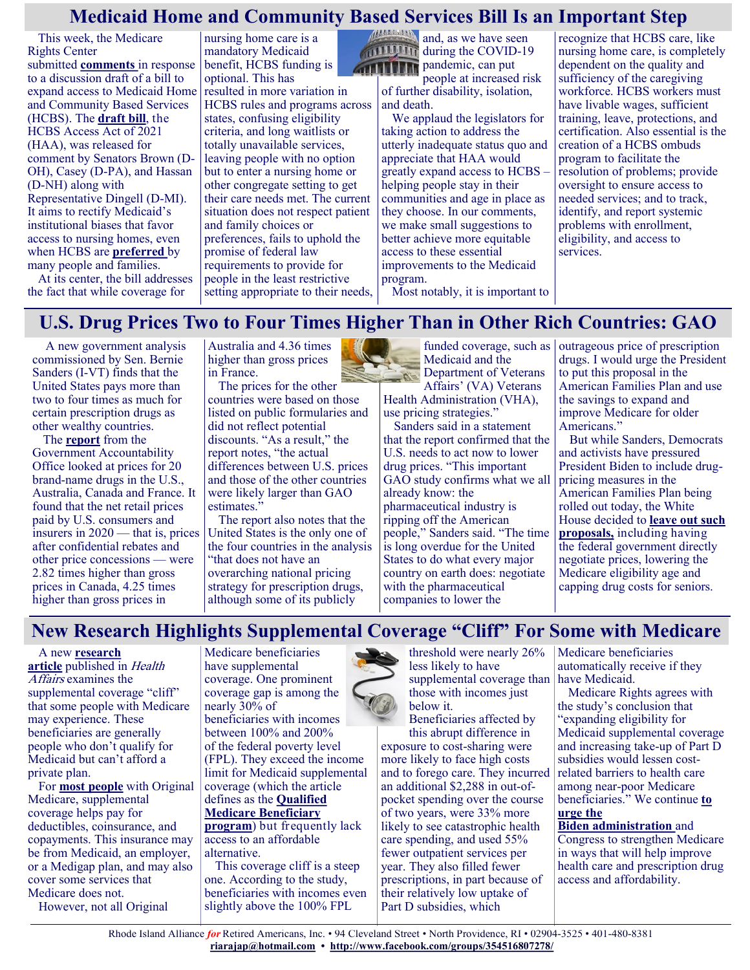## **Medicaid Home and Community Based Services Bill Is an Important Step**

This week, the Medicare Rights Center submitted **[comments](https://www.medicarerights.org/policy-documents/comments-on-the-hcbs-access-act-discussion-draft)** in response to a discussion draft of a bill to expand access to Medicaid Home and Community Based Services (HCBS). The **[draft](https://debbiedingell.house.gov/uploadedfiles/hcbs_access_act.pdf) bill**, the HCBS Access Act of 2021 (HAA), was released for comment by Senators Brown (D-OH), Casey (D-PA), and Hassan (D-NH) along with Representative Dingell (D-MI). It aims to rectify Medicaid's institutional biases that favor access to nursing homes, even when HCBS are **[preferred](https://www.aarp.org/research/topics/community/info-2018/2018-home-community-preference.html#:~:text=Folks%20Just%20Want%20to%20Age%20in%20Place&text=A%20new%20AARP%20survey%20of,see%20that%20happening%20for%20them.)** by many people and families.

At its center, the bill addresses the fact that while coverage for

nursing home care is a mandatory Medicaid benefit, HCBS funding is optional. This has resulted in more variation in HCBS rules and programs across states, confusing eligibility criteria, and long waitlists or totally unavailable services, leaving people with no option but to enter a nursing home or other congregate setting to get their care needs met. The current situation does not respect patient and family choices or preferences, fails to uphold the promise of federal law requirements to provide for people in the least restrictive setting appropriate to their needs,



during the COVID-19 **ATITITIN** pandemic, can put people at increased risk

of further disability, isolation, and death.

We applaud the legislators for taking action to address the utterly inadequate status quo and appreciate that HAA would greatly expand access to HCBS – helping people stay in their communities and age in place as they choose. In our comments, we make small suggestions to better achieve more equitable access to these essential improvements to the Medicaid program.

recognize that HCBS care, like nursing home care, is completely dependent on the quality and sufficiency of the caregiving workforce. HCBS workers must have livable wages, sufficient training, leave, protections, and certification. Also essential is the creation of a HCBS ombuds program to facilitate the resolution of problems; provide oversight to ensure access to needed services; and to track, identify, and report systemic problems with enrollment, eligibility, and access to services.

Most notably, it is important to

# **U.S. Drug Prices Two to Four Times Higher Than in Other Rich Countries: GAO**

A new government analysis commissioned by Sen. Bernie Sanders (I-VT) finds that the United States pays more than two to four times as much for certain prescription drugs as other wealthy countries.

The **[report](https://www.gao.gov/products/gao-21-282)** from the Government Accountability Office looked at prices for 20 brand-name drugs in the U.S., Australia, Canada and France. It found that the net retail prices paid by U.S. consumers and insurers in 2020 — that is, prices after confidential rebates and other price concessions — were 2.82 times higher than gross prices in Canada, 4.25 times higher than gross prices in

Australia and 4.36 times higher than gross prices in France.

The prices for the other countries were based on those listed on public formularies and did not reflect potential discounts. "As a result," the report notes, "the actual differences between U.S. prices and those of the other countries were likely larger than GAO estimates."

The report also notes that the United States is the only one of the four countries in the analysis "that does not have an overarching national pricing strategy for prescription drugs, although some of its publicly



funded coverage, such as Medicaid and the Department of Veterans Affairs' (VA) Veterans

Health Administration (VHA), use pricing strategies."

Sanders said in a statement that the report confirmed that the U.S. needs to act now to lower drug prices. "This important GAO study confirms what we all already know: the pharmaceutical industry is ripping off the American people," Sanders said. "The time is long overdue for the United States to do what every major country on earth does: negotiate with the pharmaceutical companies to lower the

outrageous price of prescription drugs. I would urge the President to put this proposal in the American Families Plan and use the savings to expand and improve Medicare for older Americans."

But while Sanders, Democrats and activists have pressured President Biden to include drugpricing measures in the American Families Plan being rolled out today, the White House decided to **[leave out such](https://www.washingtonpost.com/politics/2021/04/28/health-202-it-official-biden-is-skipping-drug-pricing-fight-his-next-big-spending-proposal/)  [proposals,](https://www.washingtonpost.com/politics/2021/04/28/health-202-it-official-biden-is-skipping-drug-pricing-fight-his-next-big-spending-proposal/)** including having the federal government directly negotiate prices, lowering the Medicare eligibility age and capping drug costs for seniors.

# **New Research Highlights Supplemental Coverage "Cliff" For Some with Medicare**

#### A new **[research](https://www.healthaffairs.org/doi/full/10.1377/hlthaff.2020.02272)**

[article](https://www.healthaffairs.org/doi/full/10.1377/hlthaff.2020.02272) published in Health Affairs examines the supplemental coverage "cliff" that some people with Medicare may experience. These beneficiaries are generally people who don't qualify for Medicaid but can't afford a private plan.

For **[most people](https://www.kff.org/medicare/issue-brief/sources-of-supplemental-coverage-among-medicare-beneficiaries-in-2016/)** with Original Medicare, supplemental coverage helps pay for deductibles, coinsurance, and copayments. This insurance may be from Medicaid, an employer, or a Medigap plan, and may also cover some services that Medicare does not.

However, not all Original

Medicare beneficiaries have supplemental coverage. One prominent coverage gap is among the nearly 30% of beneficiaries with incomes between 100% and 200% of the federal poverty level (FPL). They exceed the income limit for Medicaid supplemental coverage (which the article defines as the **[Qualified](https://www.medicareinteractive.org/get-answers/cost-saving-programs-for-people-with-medicare/medicare-savings-programs-qmb-slmb-qi/medicare-savings-program-basics)  [Medicare Beneficiary](https://www.medicareinteractive.org/get-answers/cost-saving-programs-for-people-with-medicare/medicare-savings-programs-qmb-slmb-qi/medicare-savings-program-basics)  [program](https://www.medicareinteractive.org/get-answers/cost-saving-programs-for-people-with-medicare/medicare-savings-programs-qmb-slmb-qi/medicare-savings-program-basics)**) but frequently lack access to an affordable alternative.

This coverage cliff is a steep one. According to the study, beneficiaries with incomes even slightly above the 100% FPL

threshold were nearly 26% less likely to have supplemental coverage than those with incomes just below it.

Beneficiaries affected by this abrupt difference in exposure to cost-sharing were more likely to face high costs and to forego care. They incurred an additional \$2,288 in out-ofpocket spending over the course of two years, were 33% more likely to see catastrophic health care spending, and used 55% fewer outpatient services per year. They also filled fewer prescriptions, in part because of their relatively low uptake of Part D subsidies, which

Medicare beneficiaries automatically receive if they have Medicaid.

Medicare Rights agrees with the study's conclusion that "expanding eligibility for Medicaid supplemental coverage and increasing take-up of Part D subsidies would lessen costrelated barriers to health care among near-poor Medicare beneficiaries." We continue **[to](https://www.medicarerights.org/pdf/121720-transition-memo-summary.pdf)  [urge the](https://www.medicarerights.org/pdf/121720-transition-memo-summary.pdf)** 

**Biden [administration](https://www.medicarerights.org/pdf/121720-transition-memo-summary.pdf)** and Congress to strengthen Medicare in ways that will help improve health care and prescription drug access and affordability.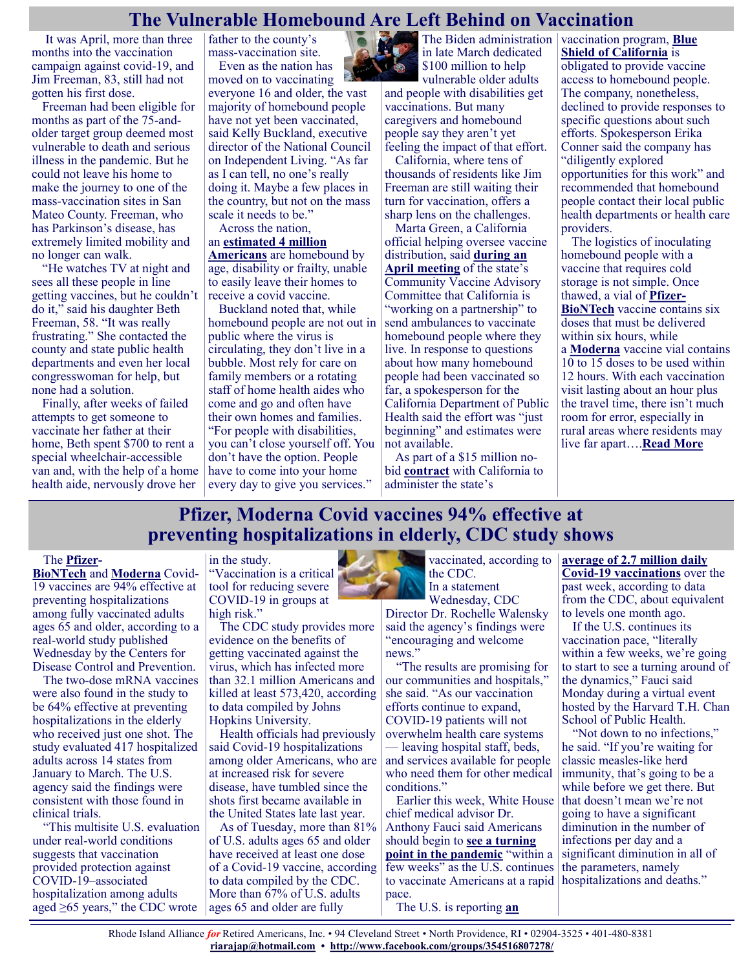#### **The Vulnerable Homebound Are Left Behind on Vaccination**

It was April, more than three months into the vaccination campaign against covid-19, and Jim Freeman, 83, still had not gotten his first dose.

Freeman had been eligible for months as part of the 75-andolder target group deemed most vulnerable to death and serious illness in the pandemic. But he could not leave his home to make the journey to one of the mass-vaccination sites in San Mateo County. Freeman, who has Parkinson's disease, has extremely limited mobility and no longer can walk.

"He watches TV at night and sees all these people in line getting vaccines, but he couldn't do it," said his daughter Beth Freeman, 58. "It was really frustrating." She contacted the county and state public health departments and even her local congresswoman for help, but none had a solution.

Finally, after weeks of failed attempts to get someone to vaccinate her father at their home, Beth spent \$700 to rent a special wheelchair-accessible van and, with the help of a home health aide, nervously drove her

father to the county's mass-vaccination site. Even as the nation has

moved on to vaccinating everyone 16 and older, the vast majority of homebound people have not yet been vaccinated, said Kelly Buckland, executive director of the National Council on Independent Living. "As far as I can tell, no one's really doing it. Maybe a few places in the country, but not on the mass scale it needs to be."

Across the nation, an **[estimated 4 million](https://www.healthaffairs.org/doi/full/10.1377/hlthaff.2014.1008#:~:text=Approximately%20four%20million%20adults%20in,access%20office%2Dbased%20primary%20care.)  [Americans](https://www.healthaffairs.org/doi/full/10.1377/hlthaff.2014.1008#:~:text=Approximately%20four%20million%20adults%20in,access%20office%2Dbased%20primary%20care.)** are homebound by age, disability or frailty, unable to easily leave their homes to

receive a covid vaccine. Buckland noted that, while homebound people are not out in public where the virus is circulating, they don't live in a bubble. Most rely for care on family members or a rotating staff of home health aides who come and go and often have their own homes and families. "For people with disabilities, you can't close yourself off. You don't have the option. People have to come into your home every day to give you services."

in late March dedicated

\$100 million to help vulnerable older adults and people with disabilities get vaccinations. But many caregivers and homebound people say they aren't yet

feeling the impact of that effort. California, where tens of thousands of residents like Jim Freeman are still waiting their turn for vaccination, offers a sharp lens on the challenges.

Marta Green, a California official helping oversee vaccine distribution, said **[during an](https://www.youtube.com/watch?v=iAjIXI9GMkY&t=4545s)  [April meeting](https://www.youtube.com/watch?v=iAjIXI9GMkY&t=4545s)** of the state's Community Vaccine Advisory Committee that California is "working on a partnership" to send ambulances to vaccinate homebound people where they live. In response to questions about how many homebound people had been vaccinated so far, a spokesperson for the California Department of Public Health said the effort was "just beginning" and estimates were not available.

As part of a \$15 million nobid **[contract](https://files.covid19.ca.gov/pdf/Blue-shield-of-california-GovOps.pdf)** with California to administer the state's

The Biden administration vaccination program, **[Blue](https://khn.org/news/article/in-california-blue-shields-vaccination-takeover-fixes-what-wasnt-broken/)  [Shield of California](https://khn.org/news/article/in-california-blue-shields-vaccination-takeover-fixes-what-wasnt-broken/)** is obligated to provide vaccine access to homebound people. The company, nonetheless, declined to provide responses to specific questions about such efforts. Spokesperson Erika Conner said the company has "diligently explored opportunities for this work" and recommended that homebound people contact their local public health departments or health care providers.

The logistics of inoculating homebound people with a vaccine that requires cold storage is not simple. Once thawed, a vial of **[Pfizer](https://www.cdc.gov/vaccines/covid-19/info-by-product/pfizer/downloads/prep-and-admin-summary.pdf)-[BioNTech](https://www.cdc.gov/vaccines/covid-19/info-by-product/pfizer/downloads/prep-and-admin-summary.pdf)** vaccine contains six doses that must be delivered within six hours, while

a **[Moderna](https://www.fda.gov/media/144637/download)** vaccine vial contains 10 to 15 doses to be used within 12 hours. With each vaccination visit lasting about an hour plus the travel time, there isn't much room for error, especially in rural areas where residents may live far apart….**[Read More](https://khn.org/news/article/the-vulnerable-homebound-are-left-behind-on-vaccination/)**

## **Pfizer, Moderna Covid vaccines 94% effective at preventing hospitalizations in elderly, CDC study shows**

#### The **[Pfizer](https://www.cnbc.com/quotes/PFE)-**

**[BioNTech](https://www.cnbc.com/quotes/22UA-DE)** and **[Moderna](https://www.cnbc.com/quotes/MRNA)** Covid-19 vaccines are 94% effective at preventing hospitalizations among fully vaccinated adults ages 65 and older, according to a real-world study published Wednesday by the Centers for Disease Control and Prevention.

The two-dose mRNA vaccines were also found in the study to be 64% effective at preventing hospitalizations in the elderly who received just one shot. The study evaluated 417 hospitalized adults across 14 states from January to March. The U.S. agency said the findings were consistent with those found in clinical trials.

"This multisite U.S. evaluation under real-world conditions suggests that vaccination provided protection against COVID-19–associated hospitalization among adults aged  $\geq 65$  years," the CDC wrote

#### in the study.

"Vaccination is a critical tool for reducing severe COVID-19 in groups at high risk."

The CDC study provides more evidence on the benefits of getting vaccinated against the virus, which has infected more than 32.1 million Americans and killed at least 573,420, according to data compiled by Johns Hopkins University.

Health officials had previously said Covid-19 hospitalizations among older Americans, who are at increased risk for severe disease, have tumbled since the shots first became available in the United States late last year.

As of Tuesday, more than 81% of U.S. adults ages 65 and older have received at least one dose of a Covid-19 vaccine, according to data compiled by the CDC. More than 67% of U.S. adults ages 65 and older are fully



Director Dr. Rochelle Walensky said the agency's findings were "encouraging and welcome news."

"The results are promising for our communities and hospitals," she said. "As our vaccination efforts continue to expand, COVID-19 patients will not overwhelm health care systems

— leaving hospital staff, beds, and services available for people who need them for other medical conditions."

Earlier this week, White House chief medical advisor Dr. Anthony Fauci said Americans should begin to **[see a turning](https://www.cnbc.com/2021/04/26/coronavirus-us-fauci-says-us-should-see-a-turning-point-within-a-few-weeks.html)  [point in the pandemic](https://www.cnbc.com/2021/04/26/coronavirus-us-fauci-says-us-should-see-a-turning-point-within-a-few-weeks.html)** "within a few weeks" as the U.S. continues to vaccinate Americans at a rapid pace.

The U.S. is reporting **[an](https://www.cnbc.com/2021/04/28/covid-19-cases-deaths-vaccinations-daily-update.html)** 

**[average of 2.7 million daily](https://www.cnbc.com/2021/04/28/covid-19-cases-deaths-vaccinations-daily-update.html)  Covid-[19 vaccinations](https://www.cnbc.com/2021/04/28/covid-19-cases-deaths-vaccinations-daily-update.html)** over the past week, according to data from the CDC, about equivalent to levels one month ago.

If the U.S. continues its vaccination pace, "literally within a few weeks, we're going to start to see a turning around of the dynamics," Fauci said Monday during a virtual event hosted by the Harvard T.H. Chan School of Public Health.

"Not down to no infections," he said. "If you're waiting for classic measles-like herd immunity, that's going to be a while before we get there. But that doesn't mean we're not going to have a significant diminution in the number of infections per day and a significant diminution in all of the parameters, namely hospitalizations and deaths."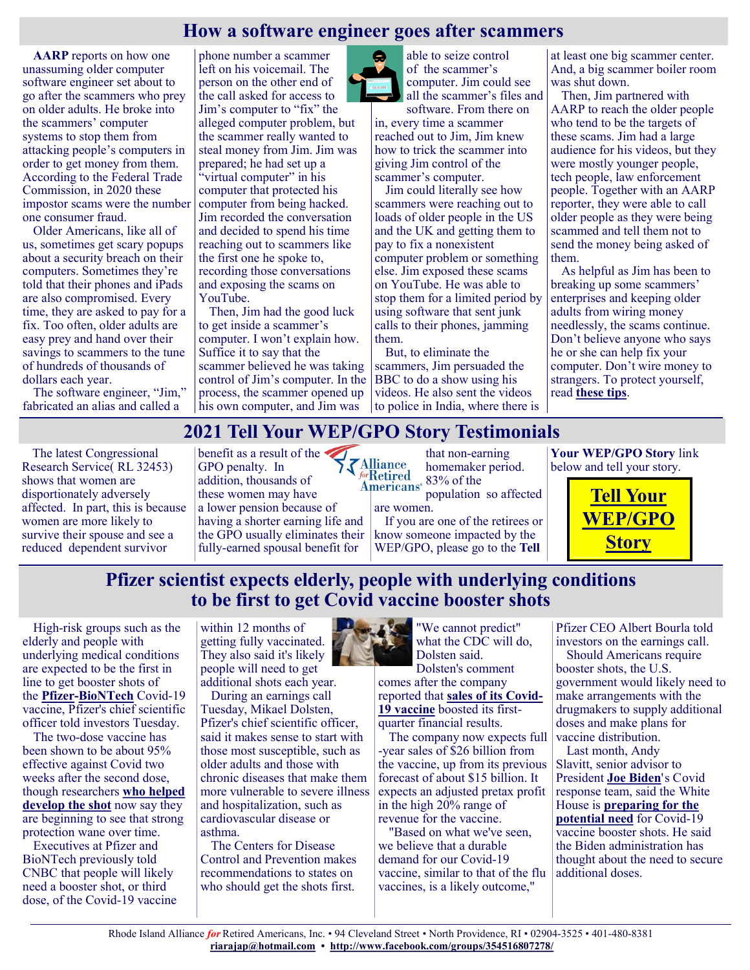## **How a software engineer goes after scammers**

**[AARP](https://www.aarp.org/money/scams-fraud/info-2021/international-tech-support-scam-exposed.html)** reports on how one unassuming older computer software engineer set about to go after the scammers who prey on older adults. He broke into the scammers' computer systems to stop them from attacking people's computers in order to get money from them. According to the Federal Trade Commission, in 2020 these impostor scams were the number one consumer fraud.

Older Americans, like all of us, sometimes get scary popups about a security breach on their computers. Sometimes they're told that their phones and iPads are also compromised. Every time, they are asked to pay for a fix. Too often, older adults are easy prey and hand over their savings to scammers to the tune of hundreds of thousands of dollars each year.

The software engineer, "Jim," fabricated an alias and called a

The latest Congressional Research Service( RL 32453) shows that women are disportionately adversely affected. In part, this is because women are more likely to survive their spouse and see a reduced dependent survivor

phone number a scammer left on his voicemail. The person on the other end of the call asked for access to Jim's computer to "fix" the alleged computer problem, but the scammer really wanted to steal money from Jim. Jim was prepared; he had set up a "virtual computer" in his computer that protected his computer from being hacked. Jim recorded the conversation and decided to spend his time reaching out to scammers like the first one he spoke to, recording those conversations and exposing the scams on YouTube.

Then, Jim had the good luck to get inside a scammer's computer. I won't explain how. Suffice it to say that the scammer believed he was taking control of Jim's computer. In the process, the scammer opened up his own computer, and Jim was



able to seize control of the scammer's computer. Jim could see all the scammer's files and

software. From there on in, every time a scammer reached out to Jim, Jim knew how to trick the scammer into giving Jim control of the scammer's computer.

Jim could literally see how scammers were reaching out to loads of older people in the US and the UK and getting them to pay to fix a nonexistent computer problem or something else. Jim exposed these scams on YouTube. He was able to stop them for a limited period by using software that sent junk calls to their phones, jamming them.

But, to eliminate the scammers, Jim persuaded the BBC to do a show using his videos. He also sent the videos to police in India, where there is at least one big scammer center. And, a big scammer boiler room was shut down.

Then, Jim partnered with AARP to reach the older people who tend to be the targets of these scams. Jim had a large audience for his videos, but they were mostly younger people, tech people, law enforcement people. Together with an AARP reporter, they were able to call older people as they were being scammed and tell them not to send the money being asked of them.

As helpful as Jim has been to breaking up some scammers' enterprises and keeping older adults from wiring money needlessly, the scams continue. Don't believe anyone who says he or she can help fix your computer. Don't wire money to strangers. To protect yourself, read **[these tips](https://justcareusa.org/financial-scams-beware-of-strangers-offering-help%ef%bb%bf%ef%bb%bf/)**.

#### **2021 Tell Your WEP/GPO Story Testimonials**

are women.

benefit as a result of the GPO penalty. In addition, thousands of these women may have a lower pension because of having a shorter earning life and the GPO usually eliminates their fully-earned spousal benefit for

that non-earning homemaker period. 83% of the **Americans**<sup>®</sup> population so affected

If you are one of the retirees or know someone impacted by the WEP/GPO, please go to the **Tell** 

**Your WEP/GPO Story** link below and tell your story.



## **Pfizer scientist expects elderly, people with underlying conditions to be first to get Covid vaccine booster shots**

High-risk groups such as the elderly and people with underlying medical conditions are expected to be the first in line to get booster shots of the **[Pfizer](https://www.cnbc.com/quotes/PFE)-[BioNTech](https://www.cnbc.com/quotes/22UA-DE)** Covid-19 vaccine, Pfizer's chief scientific officer told investors Tuesday.

The two-dose vaccine has been shown to be about 95% effective against Covid two weeks after the second dose, though researchers **[who helped](https://www.cnbc.com/2021/04/30/biontech-expects-covid-vaccine-data-on-kids-ages-5-to-11-as-early-as-end-of-summer.html)  [develop the shot](https://www.cnbc.com/2021/04/30/biontech-expects-covid-vaccine-data-on-kids-ages-5-to-11-as-early-as-end-of-summer.html)** now say they are beginning to see that strong protection wane over time.

Executives at Pfizer and BioNTech previously told CNBC that people will likely need a booster shot, or third dose, of the Covid-19 vaccine

within 12 months of getting fully vaccinated. They also said it's likely people will need to get additional shots each year.

During an earnings call Tuesday, Mikael Dolsten, Pfizer's chief scientific officer, said it makes sense to start with those most susceptible, such as older adults and those with chronic diseases that make them more vulnerable to severe illness and hospitalization, such as cardiovascular disease or asthma.

The Centers for Disease Control and Prevention makes recommendations to states on who should get the shots first.



Dolsten's comment comes after the company reported that **[sales of its Covid](https://www.cnbc.com/2021/05/04/pfizer-pfe-earnings-q1-2021.html)-[19 vaccine](https://www.cnbc.com/2021/05/04/pfizer-pfe-earnings-q1-2021.html)** boosted its firstquarter financial results.

The company now expects full -year sales of \$26 billion from the vaccine, up from its previous forecast of about \$15 billion. It expects an adjusted pretax profit in the high 20% range of revenue for the vaccine.

"Based on what we've seen, we believe that a durable demand for our Covid-19 vaccine, similar to that of the flu vaccines, is a likely outcome,"

Pfizer CEO Albert Bourla told investors on the earnings call.

Should Americans require booster shots, the U.S. government would likely need to make arrangements with the drugmakers to supply additional doses and make plans for vaccine distribution.

Last month, Andy Slavitt, senior advisor to President **[Joe Biden](https://www.cnbc.com/joe-biden/)**'s Covid response team, said the White House is **[preparing for the](https://www.cnbc.com/2021/04/16/covid-booster-shot-biden-administration-is-preparing-for-the-potential-need.html)  [potential need](https://www.cnbc.com/2021/04/16/covid-booster-shot-biden-administration-is-preparing-for-the-potential-need.html)** for Covid-19 vaccine booster shots. He said the Biden administration has thought about the need to secure additional doses.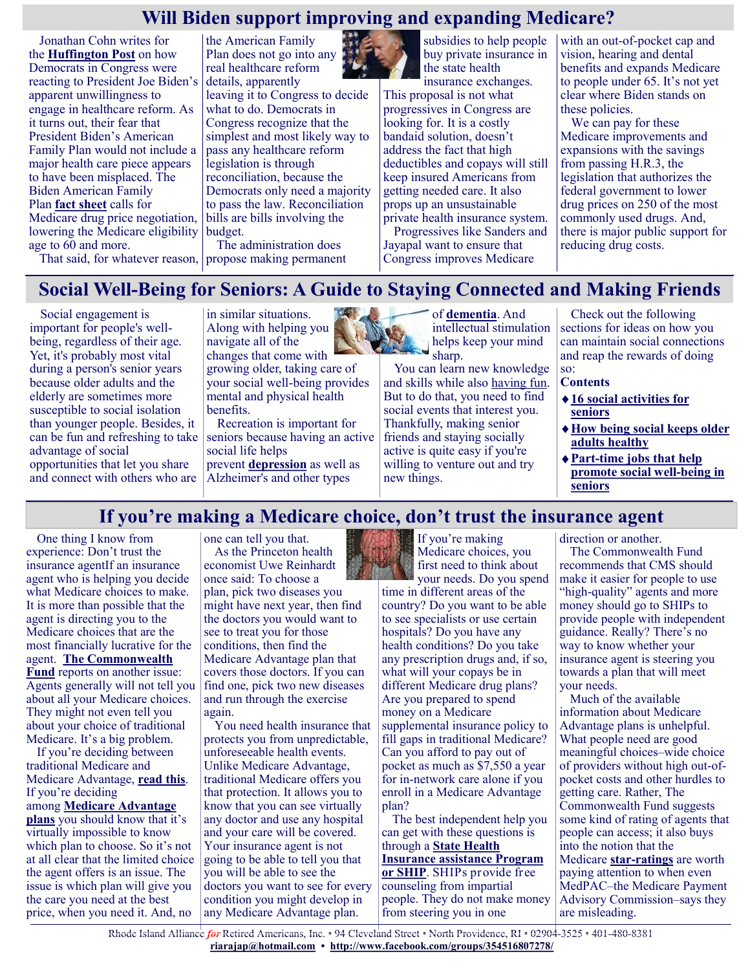## **Will Biden support improving and expanding Medicare?**

Jonathan Cohn writes for the **[Huffington Post](https://www.huffpost.com/entry/biden-health-care-agenda-medicare-aca-prescription-drugs_n_6084487ce4b05af50db65451)** on how Democrats in Congress were reacting to President Joe Biden's apparent unwillingness to engage in healthcare reform. As it turns out, their fear that President Biden's American Family Plan would not include a major health care piece appears to have been misplaced. The Biden American Family Plan **[fact sheet](https://www.whitehouse.gov/briefing-room/statements-releases/2021/04/28/fact-sheet-the-american-families-plan/)** calls for Medicare drug price negotiation, lowering the Medicare eligibility age to 60 and more.

the American Family Plan does not go into any real healthcare reform details, apparently leaving it to Congress to decide what to do. Democrats in Congress recognize that the simplest and most likely way to pass any healthcare reform legislation is through reconciliation, because the Democrats only need a majority to pass the law. Reconciliation bills are bills involving the budget.

The administration does propose making permanent

subsidies to help people buy private insurance in the state health

insurance exchanges. This proposal is not what progressives in Congress are looking for. It is a costly bandaid solution, doesn't address the fact that high deductibles and copays will still keep insured Americans from getting needed care. It also props up an unsustainable private health insurance system. Progressives like Sanders and

Jayapal want to ensure that Congress improves Medicare

with an out-of-pocket cap and vision, hearing and dental benefits and expands Medicare to people under 65. It's not yet clear where Biden stands on these policies.

We can pay for these Medicare improvements and expansions with the savings from passing H.R.3, the legislation that authorizes the federal government to lower drug prices on 250 of the most commonly used drugs. And, there is major public support for reducing drug costs.

That said, for whatever reason,

# **Social Well-Being for Seniors: A Guide to Staying Connected and Making Friends**

Social engagement is important for people's wellbeing, regardless of their age. Yet, it's probably most vital during a person's senior years because older adults and the elderly are sometimes more susceptible to social isolation than younger people. Besides, it can be fun and refreshing to take advantage of social opportunities that let you share and connect with others who are

in similar situations. Along with helping you navigate all of the changes that come with

growing older, taking care of your social well-being provides mental and physical health benefits.

Recreation is important for seniors because having an active social life helps prevent **[depression](https://www.greatseniorliving.com/health-wellness/depression-in-the-elderly)** as well as Alzheimer's and other types



of **[dementia](https://www.greatseniorliving.com/health-wellness/dementia)**. And intellectual stimulation helps keep your mind sharp.

You can learn new knowledge and skills while also [having fun.](https://www.greatseniorliving.com/articles/fun-activities-for-seniors) But to do that, you need to find social events that interest you. Thankfully, making senior friends and staying socially active is quite easy if you're willing to venture out and try new things.

Check out the following sections for ideas on how you can maintain social connections and reap the rewards of doing so:

#### **Contents**

- **[16 social activities for](https://www.greatseniorliving.com/health-wellness/social-well-being#social-activities)  [seniors](https://www.greatseniorliving.com/health-wellness/social-well-being#social-activities)**
- **[How being social keeps older](https://www.greatseniorliving.com/health-wellness/social-well-being#being-social)  [adults healthy](https://www.greatseniorliving.com/health-wellness/social-well-being#being-social)**
- **Part-[time jobs that help](https://www.greatseniorliving.com/health-wellness/social-well-being#part-time-jobs)  [promote social well](https://www.greatseniorliving.com/health-wellness/social-well-being#part-time-jobs)-being in [seniors](https://www.greatseniorliving.com/health-wellness/social-well-being#part-time-jobs)**

# **If you're making a Medicare choice, don't trust the insurance agent**

One thing I know from experience: Don't trust the insurance agentIf an insurance agent who is helping you decide what Medicare choices to make. It is more than possible that the agent is directing you to the Medicare choices that are the most financially lucrative for the agent. **[The Commonwealth](https://www.commonwealthfund.org/publications/fund-reports/2021/apr/how-agents-influence-medicare-beneficiaries-plan-choices)  [Fund](https://www.commonwealthfund.org/publications/fund-reports/2021/apr/how-agents-influence-medicare-beneficiaries-plan-choices)** reports on another issue: Agents generally will not tell you about all your Medicare choices. They might not even tell you about your choice of traditional Medicare. It's a big problem.

If you're deciding between traditional Medicare and Medicare Advantage, **[read this](https://justcareusa.org/choosing-between-traditional-medicare-and-medicare-advantage-plans/)**. If you're deciding among **[Medicare Advantage](https://justcareusa.org/the-wrong-choice-of-medicare-advantage-plan-could-kill-you/)  [plans](https://justcareusa.org/the-wrong-choice-of-medicare-advantage-plan-could-kill-you/)** you should know that it's virtually impossible to know which plan to choose. So it's not at all clear that the limited choice the agent offers is an issue. The issue is which plan will give you the care you need at the best price, when you need it. And, no

one can tell you that. As the Princeton health economist Uwe Reinhardt once said: To choose a plan, pick two diseases you might have next year, then find the doctors you would want to see to treat you for those conditions, then find the Medicare Advantage plan that covers those doctors. If you can find one, pick two new diseases and run through the exercise again.

You need health insurance that protects you from unpredictable, unforeseeable health events. Unlike Medicare Advantage, traditional Medicare offers you that protection. It allows you to know that you can see virtually any doctor and use any hospital and your care will be covered. Your insurance agent is not going to be able to tell you that you will be able to see the doctors you want to see for every condition you might develop in any Medicare Advantage plan.



If you're making Medicare choices, you first need to think about your needs. Do you spend

time in different areas of the country? Do you want to be able to see specialists or use certain hospitals? Do you have any health conditions? Do you take any prescription drugs and, if so, what will your copays be in different Medicare drug plans? Are you prepared to spend money on a Medicare supplemental insurance policy to fill gaps in traditional Medicare? Can you afford to pay out of pocket as much as \$7,550 a year for in-network care alone if you enroll in a Medicare Advantage plan?

The best independent help you can get with these questions is through a **[State Health](https://justcareusa.org/important-resources-for-older-adults/)  [Insurance assistance Program](https://justcareusa.org/important-resources-for-older-adults/)  [or SHIP](https://justcareusa.org/important-resources-for-older-adults/)**. SHIPs provide free counseling from impartial people. They do not make money from steering you in one

direction or another.

The Commonwealth Fund recommends that CMS should make it easier for people to use "high-quality" agents and more money should go to SHIPs to provide people with independent guidance. Really? There's no way to know whether your insurance agent is steering you towards a plan that will meet your needs.

Much of the available information about Medicare Advantage plans is unhelpful. What people need are good meaningful choices–wide choice of providers without high out-ofpocket costs and other hurdles to getting care. Rather, The Commonwealth Fund suggests some kind of rating of agents that people can access; it also buys into the notion that the Medicare **star-[ratings](https://justcareusa.org/medicare-ratings-of-medicare-advantage-plans-a-farce/)** are worth paying attention to when even MedPAC–the Medicare Payment Advisory Commission–says they are misleading.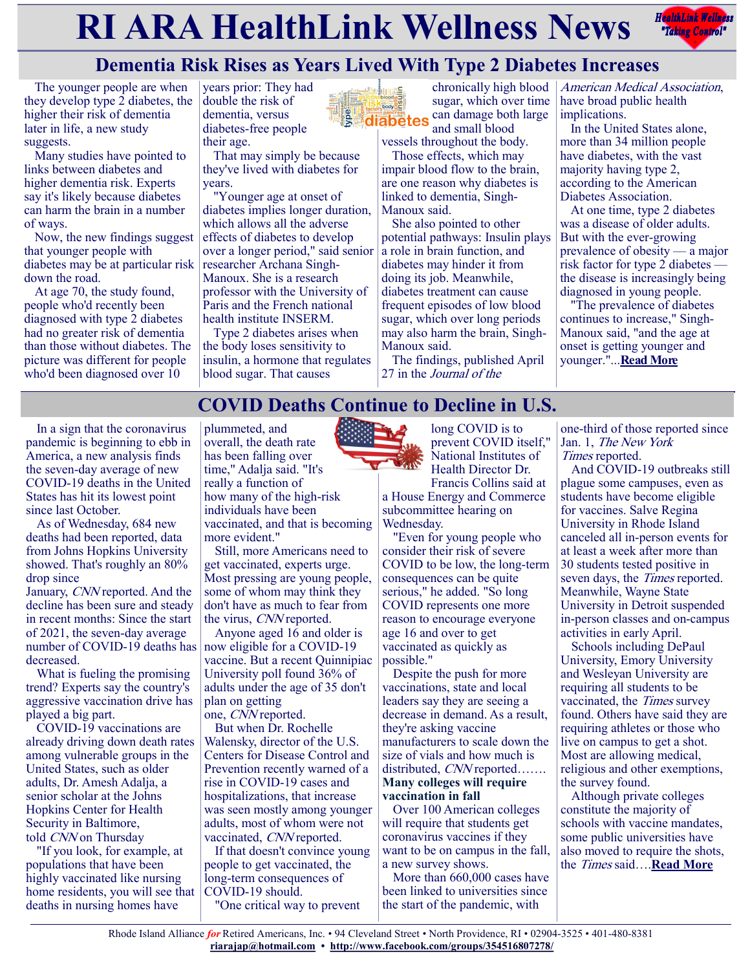# **RIARA HealthLink Wellness News** *<b>Redistribles Redistribles*



# **Dementia Risk Rises as Years Lived With Type 2 Diabetes Increases**

The younger people are when they develop type 2 diabetes, the higher their risk of dementia later in life, a new study suggests.

Many studies have pointed to links between diabetes and higher dementia risk. Experts say it's likely because diabetes can harm the brain in a number of ways.

Now, the new findings suggest that younger people with diabetes may be at particular risk down the road.

At age 70, the study found, people who'd recently been diagnosed with type 2 diabetes had no greater risk of dementia than those without diabetes. The picture was different for people who'd been diagnosed over 10

years prior: They had double the risk of dementia, versus diabetes-free people their age.

> That may simply be because they've lived with diabetes for years.

"Younger age at onset of diabetes implies longer duration, which allows all the adverse effects of diabetes to develop over a longer period," said senior researcher Archana Singh-Manoux. She is a research professor with the University of Paris and the French national health institute INSERM.

Type 2 diabetes arises when the body loses sensitivity to insulin, a hormone that regulates blood sugar. That causes

chronically high blood sugar, which over time body<sup>00</sup> can damage both large diabetes and small blood

vessels throughout the body. Those effects, which may impair blood flow to the brain, are one reason why diabetes is linked to dementia, Singh-Manoux said.

She also pointed to other potential pathways: Insulin plays a role in brain function, and diabetes may hinder it from doing its job. Meanwhile, diabetes treatment can cause frequent episodes of low blood sugar, which over long periods may also harm the brain, Singh-Manoux said.

The findings, published April 27 in the Journal of the

American Medical Association, have broad public health implications.

In the United States alone, more than 34 million people have diabetes, with the vast majority having type 2, according to the American Diabetes Association.

At one time, type 2 diabetes was a disease of older adults. But with the ever-growing prevalence of obesity — a major risk factor for type 2 diabetes the disease is increasingly being diagnosed in young people.

"The prevalence of diabetes continues to increase," Singh-Manoux said, "and the age at onset is getting younger and younger."...**[Read More](https://consumer.healthday.com/4-28-dementia-risk-rises-with-more-years-lived-with-type-2-diabetes-2652756057.html)**

# **COVID Deaths Continue to Decline in U.S.**

In a sign that the coronavirus pandemic is beginning to ebb in America, a new analysis finds the seven-day average of new COVID-19 deaths in the United States has hit its lowest point since last October.

As of Wednesday, 684 new deaths had been reported, data from Johns Hopkins University showed. That's roughly an 80% drop since

January, CNN reported. And the decline has been sure and steady in recent months: Since the start of 2021, the seven-day average number of COVID-19 deaths has decreased.

What is fueling the promising trend? Experts say the country's aggressive vaccination drive has played a big part.

COVID-19 vaccinations are already driving down death rates among vulnerable groups in the United States, such as older adults, Dr. Amesh Adalja, a senior scholar at the Johns Hopkins Center for Health Security in Baltimore, told CNN on Thursday

"If you look, for example, at populations that have been highly vaccinated like nursing home residents, you will see that deaths in nursing homes have

plummeted, and overall, the death rate has been falling over time," Adalja said. "It's really a function of how many of the high-risk individuals have been vaccinated, and that is becoming more evident."

Still, more Americans need to get vaccinated, experts urge. Most pressing are young people, some of whom may think they don't have as much to fear from the virus, CNN reported.

Anyone aged 16 and older is now eligible for a COVID-19 vaccine. But a recent Quinnipiac University poll found 36% of adults under the age of 35 don't plan on getting

one, CNN reported.

But when Dr. Rochelle Walensky, director of the U.S. Centers for Disease Control and Prevention recently warned of a rise in COVID-19 cases and hospitalizations, that increase was seen mostly among younger adults, most of whom were not vaccinated, *CNN* reported.

If that doesn't convince young people to get vaccinated, the long-term consequences of COVID-19 should. "One critical way to prevent



long COVID is to prevent COVID itself," National Institutes of Health Director Dr. Francis Collins said at

a House Energy and Commerce subcommittee hearing on Wednesday.

"Even for young people who consider their risk of severe COVID to be low, the long-term consequences can be quite serious," he added. "So long COVID represents one more reason to encourage everyone age 16 and over to get vaccinated as quickly as possible."

Despite the push for more vaccinations, state and local leaders say they are seeing a decrease in demand. As a result, they're asking vaccine manufacturers to scale down the size of vials and how much is distributed, CNN reported……. **Many colleges will require vaccination in fall**

Over 100 American colleges will require that students get coronavirus vaccines if they want to be on campus in the fall, a new survey shows.

More than 660,000 cases have been linked to universities since the start of the pandemic, with

one-third of those reported since Jan. 1, The New York Times reported.

And COVID-19 outbreaks still plague some campuses, even as students have become eligible for vaccines. Salve Regina University in Rhode Island canceled all in-person events for at least a week after more than 30 students tested positive in seven days, the *Times* reported. Meanwhile, Wayne State University in Detroit suspended in-person classes and on-campus activities in early April.

Schools including DePaul University, Emory University and Wesleyan University are requiring all students to be vaccinated, the Times survey found. Others have said they are requiring athletes or those who live on campus to get a shot. Most are allowing medical, religious and other exemptions, the survey found.

Although private colleges constitute the majority of schools with vaccine mandates, some public universities have also moved to require the shots, the Times said….**[Read More](https://consumer.healthday.com/4-30-covid-cases-continue-steady-drop-in-u-s-2652834159.html)**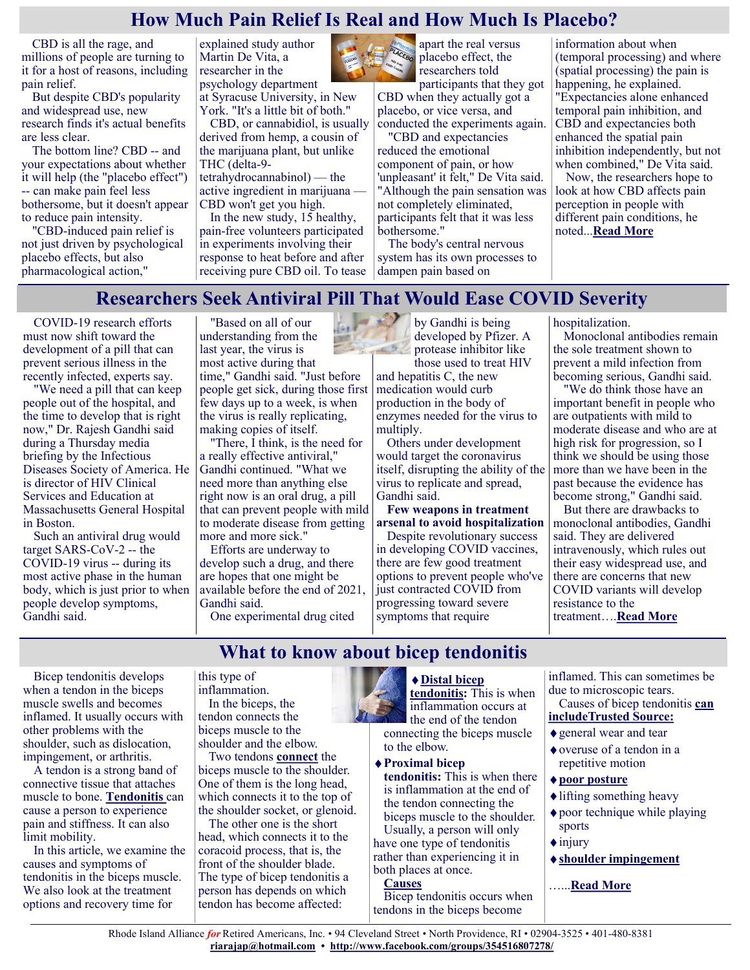## **How Much Pain Relief Is Real and How Much Is Placebo?**

CBD is all the rage, and millions of people are turning to it for a host of reasons, including pain relief.

But despite CBD's popularity and widespread use, new research finds it's actual benefits are less clear.

The bottom line? CBD -- and your expectations about whether it will help (the "placebo effect") -- can make pain feel less bothersome, but it doesn't appear to reduce pain intensity.

"CBD-induced pain relief is not just driven by psychological placebo effects, but also pharmacological action,"

explained study author Martin De Vita, a researcher in the psychology department

at Syracuse University, in New York. "It's a little bit of both."

CBD, or cannabidiol, is usually derived from hemp, a cousin of the marijuana plant, but unlike THC (delta-9-

tetrahydrocannabinol) — the active ingredient in marijuana — CBD won't get you high.

In the new study, 15 healthy, pain-free volunteers participated in experiments involving their response to heat before and after receiving pure CBD oil. To tease



apart the real versus placebo effect, the researchers told

participants that they got CBD when they actually got a placebo, or vice versa, and conducted the experiments again.

"CBD and expectancies reduced the emotional component of pain, or how 'unpleasant' it felt," De Vita said. "Although the pain sensation was not completely eliminated, participants felt that it was less bothersome."

The body's central nervous system has its own processes to dampen pain based on

information about when (temporal processing) and where (spatial processing) the pain is happening, he explained. "Expectancies alone enhanced temporal pain inhibition, and CBD and expectancies both enhanced the spatial pain inhibition independently, but not when combined," De Vita said. Now, the researchers hope to look at how CBD affects pain perception in people with different pain conditions, he noted...**[Read More](https://consumer.healthday.com/4-28-cbd-how-much-pain-relief-is-real-and-how-much-is-placebo-2652783611.html)**

## **Researchers Seek Antiviral Pill That Would Ease COVID Severity**

COVID-19 research efforts must now shift toward the development of a pill that can prevent serious illness in the recently infected, experts say.

"We need a pill that can keep people out of the hospital, and the time to develop that is right now," Dr. Rajesh Gandhi said during a Thursday media briefing by the Infectious Diseases Society of America. He is director of HIV Clinical Services and Education at Massachusetts General Hospital in Boston.

Such an antiviral drug would target SARS-CoV-2 -- the COVID-19 virus -- during its most active phase in the human body, which is just prior to when people develop symptoms, Gandhi said.

"Based on all of our understanding from the last year, the virus is most active during that time," Gandhi said. "Just before people get sick, during those first few days up to a week, is when the virus is really replicating, making copies of itself.

"There, I think, is the need for a really effective antiviral," Gandhi continued. "What we need more than anything else right now is an oral drug, a pill that can prevent people with mild to moderate disease from getting more and more sick."

Efforts are underway to develop such a drug, and there are hopes that one might be available before the end of 2021, Gandhi said.

One experimental drug cited

by Gandhi is being developed by Pfizer. A protease inhibitor like those used to treat HIV

and hepatitis C, the new medication would curb production in the body of enzymes needed for the virus to multiply.

Others under development would target the coronavirus itself, disrupting the ability of the virus to replicate and spread, Gandhi said.

**Few weapons in treatment arsenal to avoid hospitalization**

Despite revolutionary success in developing COVID vaccines, there are few good treatment options to prevent people who've just contracted COVID from progressing toward severe symptoms that require

hospitalization.

Monoclonal antibodies remain the sole treatment shown to prevent a mild infection from becoming serious, Gandhi said.

"We do think those have an important benefit in people who are outpatients with mild to moderate disease and who are at high risk for progression, so I think we should be using those more than we have been in the past because the evidence has become strong," Gandhi said.

But there are drawbacks to monoclonal antibodies, Gandhi said. They are delivered intravenously, which rules out their easy widespread use, and there are concerns that new COVID variants will develop resistance to the treatment….**[Read More](https://consumer.healthday.com/4-30-treatment-of-covid-19-is-advancing-experts-say-2652823218.html)**

### **What to know about bicep tendonitis**

Bicep tendonitis develops when a tendon in the biceps muscle swells and becomes inflamed. It usually occurs with other problems with the shoulder, such as dislocation, impingement, or arthritis.

A tendon is a strong band of connective tissue that attaches muscle to bone. **[Tendonitis](https://www.medicalnewstoday.com/articles/175596)** can cause a person to experience pain and stiffness. It can also limit mobility.

In this article, we examine the causes and symptoms of tendonitis in the biceps muscle. We also look at the treatment options and recovery time for

this type of inflammation. In the biceps, the tendon connects the biceps muscle to the shoulder and the elbow.

Two tendons **[connect](https://orthoinfo.aaos.org/en/diseases--conditions/biceps-tendon-tear-at-the-shoulder/)** the biceps muscle to the shoulder. One of them is the long head, which connects it to the top of the shoulder socket, or glenoid.

The other one is the short head, which connects it to the coracoid process, that is, the front of the shoulder blade. The type of bicep tendonitis a person has depends on which tendon has become affected:



**[tendonitis:](https://orthoinfo.aaos.org/en/diseases--conditions/biceps-tendon-tear-at-the-elbow/)** This is when inflammation occurs at the end of the tendon connecting the biceps muscle to the elbow.

**[Proximal bicep](https://orthoinfo.aaos.org/en/diseases--conditions/biceps-tendon-tear-at-the-shoulder/)** 

**[tendonitis:](https://orthoinfo.aaos.org/en/diseases--conditions/biceps-tendon-tear-at-the-shoulder/)** This is when there is inflammation at the end of the tendon connecting the biceps muscle to the shoulder. Usually, a person will only have one type of tendonitis

rather than experiencing it in both places at once.

#### **Causes**

Bicep tendonitis occurs when tendons in the biceps become

inflamed. This can sometimes be due to microscopic tears.

#### Causes of bicep tendonitis **[can](https://www.ncbi.nlm.nih.gov/books/NBK513235/)  [includeTrusted Source:](https://www.ncbi.nlm.nih.gov/books/NBK513235/)**

- general wear and tear
- overuse of a tendon in a repetitive motion
- **[poor posture](https://www.medicalnewstoday.com/articles/325883)**
- lifting something heavy
- poor technique while playing sports
- $\triangle$ injury
- **[shoulder impingement](https://www.medicalnewstoday.com/articles/326991)**
- …...**[Read More](https://www.medicalnewstoday.com/articles/bicep-tendonitis#types)**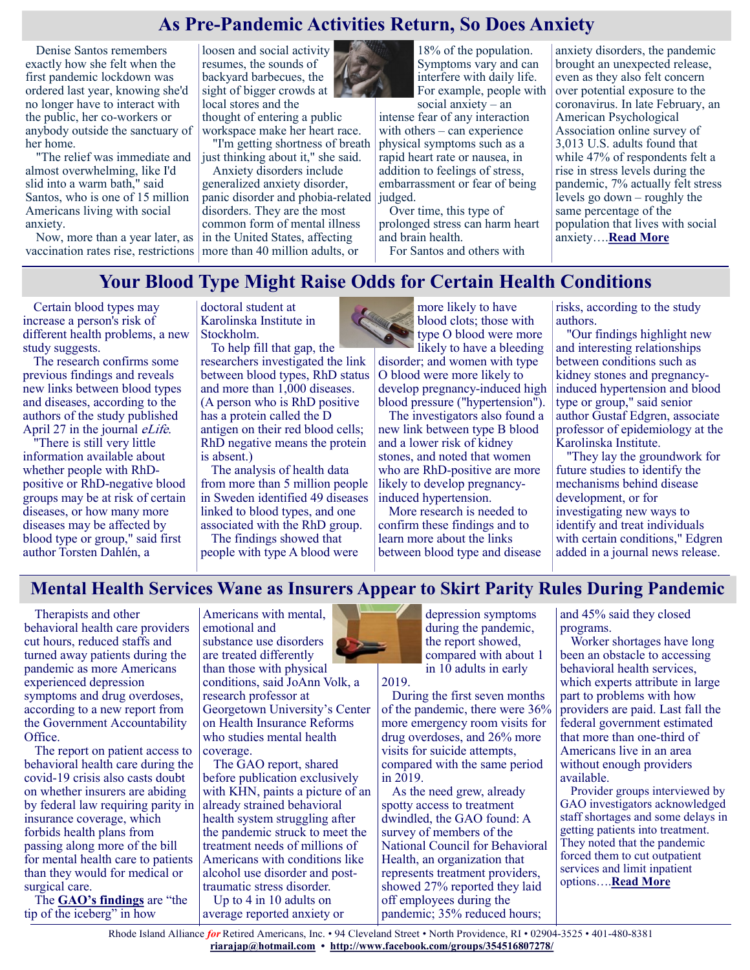# **As Pre-Pandemic Activities Return, So Does Anxiety**

Denise Santos remembers exactly how she felt when the first pandemic lockdown was ordered last year, knowing she'd no longer have to interact with the public, her co-workers or anybody outside the sanctuary of her home.

"The relief was immediate and almost overwhelming, like I'd slid into a warm bath," said Santos, who is one of 15 million Americans living with social anxiety.

Now, more than a year later, as

loosen and social activity resumes, the sounds of backyard barbecues, the sight of bigger crowds at local stores and the thought of entering a public workspace make her heart race. "I'm getting shortness of breath

just thinking about it," she said.

vaccination rates rise, restrictions more than 40 million adults, or Anxiety disorders include generalized anxiety disorder, panic disorder and phobia-related disorders. They are the most common form of mental illness in the United States, affecting



social anxiety – an intense fear of any interaction with others – can experience physical symptoms such as a rapid heart rate or nausea, in addition to feelings of stress, embarrassment or fear of being judged.

Over time, this type of prolonged stress can harm heart and brain health. For Santos and others with

anxiety disorders, the pandemic brought an unexpected release, even as they also felt concern over potential exposure to the coronavirus. In late February, an American Psychological Association online survey of 3,013 U.S. adults found that while 47% of respondents felt a rise in stress levels during the pandemic, 7% actually felt stress levels go down – roughly the same percentage of the population that lives with social anxiety….**[Read More](https://consumer.healthday.com/aha-news-as-pre-pandemic-activities-return-so-does-anxiety-2652859620.html)**

### **Your Blood Type Might Raise Odds for Certain Health Conditions**

Certain blood types may increase a person's risk of different health problems, a new study suggests.

The research confirms some previous findings and reveals new links between blood types and diseases, according to the authors of the study published April 27 in the journal *eLife*.

"There is still very little information available about whether people with RhDpositive or RhD-negative blood groups may be at risk of certain diseases, or how many more diseases may be affected by blood type or group," said first author Torsten Dahlén, a

doctoral student at Karolinska Institute in Stockholm.

To help fill that gap, the researchers investigated the link between blood types, RhD status and more than 1,000 diseases. (A person who is RhD positive has a protein called the D antigen on their red blood cells; RhD negative means the protein is absent.)

The analysis of health data from more than 5 million people in Sweden identified 49 diseases linked to blood types, and one associated with the RhD group.

The findings showed that people with type A blood were



more likely to have blood clots; those with type O blood were more likely to have a bleeding disorder; and women with type O blood were more likely to develop pregnancy-induced high blood pressure ("hypertension").

The investigators also found a new link between type B blood and a lower risk of kidney stones, and noted that women who are RhD-positive are more likely to develop pregnancyinduced hypertension.

More research is needed to confirm these findings and to learn more about the links between blood type and disease risks, according to the study authors.

"Our findings highlight new and interesting relationships between conditions such as kidney stones and pregnancyinduced hypertension and blood type or group," said senior author Gustaf Edgren, associate professor of epidemiology at the Karolinska Institute.

"They lay the groundwork for future studies to identify the mechanisms behind disease development, or for investigating new ways to identify and treat individuals with certain conditions," Edgren added in a journal news release.

#### **Mental Health Services Wane as Insurers Appear to Skirt Parity Rules During Pandemic**

Therapists and other behavioral health care providers cut hours, reduced staffs and turned away patients during the pandemic as more Americans experienced depression symptoms and drug overdoses, according to a new report from the Government Accountability Office.

The report on patient access to behavioral health care during the covid-19 crisis also casts doubt on whether insurers are abiding by federal law requiring parity in insurance coverage, which forbids health plans from passing along more of the bill for mental health care to patients than they would for medical or surgical care.

The **[GAO's findings](https://www.gao.gov/products/gao-21-437r)** are "the tip of the iceberg" in how

Americans with mental, emotional and substance use disorders are treated differently than those with physical conditions, said JoAnn Volk, a research professor at Georgetown University's Center on Health Insurance Reforms who studies mental health coverage.

The GAO report, shared before publication exclusively with KHN, paints a picture of an already strained behavioral health system struggling after the pandemic struck to meet the treatment needs of millions of Americans with conditions like alcohol use disorder and posttraumatic stress disorder.

Up to 4 in 10 adults on average reported anxiety or



depression symptoms during the pandemic, the report showed, compared with about 1 in 10 adults in early

2019.

During the first seven months of the pandemic, there were 36% more emergency room visits for drug overdoses, and 26% more visits for suicide attempts, compared with the same period in 2019.

As the need grew, already spotty access to treatment dwindled, the GAO found: A survey of members of the National Council for Behavioral Health, an organization that represents treatment providers, showed 27% reported they laid off employees during the pandemic; 35% reduced hours;

and 45% said they closed programs.

Worker shortages have long been an obstacle to accessing behavioral health services, which experts attribute in large part to problems with how providers are paid. Last fall the federal government estimated that more than one-third of Americans live in an area without enough providers available.

Provider groups interviewed by GAO investigators acknowledged staff shortages and some delays in getting patients into treatment. They noted that the pandemic forced them to cut outpatient services and limit inpatient options….**[Read More](https://khn.org/news/article/gao-report-mental-health-services-wane-as-insurers-appear-to-skirt-parity-rules-during-pandemic/)**